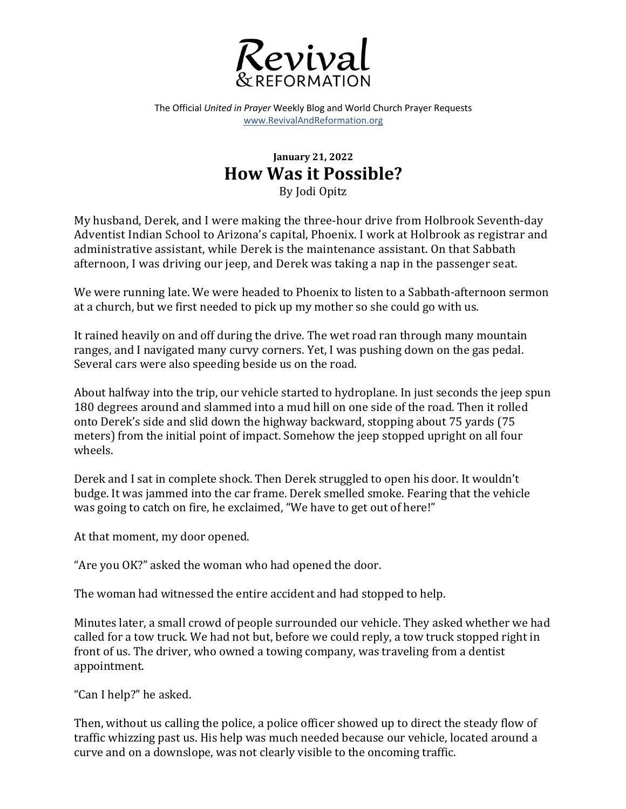

The Official *United in Prayer* Weekly Blog and World Church Prayer Requests www.RevivalAndReformation.org

## **January 21, 2022 How Was it Possible?**

By Jodi Opitz

My husband, Derek, and I were making the three-hour drive from Holbrook Seventh-day Adventist Indian School to Arizona's capital, Phoenix. I work at Holbrook as registrar and administrative assistant, while Derek is the maintenance assistant. On that Sabbath afternoon, I was driving our jeep, and Derek was taking a nap in the passenger seat.

We were running late. We were headed to Phoenix to listen to a Sabbath-afternoon sermon at a church, but we first needed to pick up my mother so she could go with us.

It rained heavily on and off during the drive. The wet road ran through many mountain ranges, and I navigated many curvy corners. Yet, I was pushing down on the gas pedal. Several cars were also speeding beside us on the road.

About halfway into the trip, our vehicle started to hydroplane. In just seconds the jeep spun 180 degrees around and slammed into a mud hill on one side of the road. Then it rolled onto Derek's side and slid down the highway backward, stopping about 75 yards (75 meters) from the initial point of impact. Somehow the jeep stopped upright on all four wheels. 

Derek and I sat in complete shock. Then Derek struggled to open his door. It wouldn't budge. It was jammed into the car frame. Derek smelled smoke. Fearing that the vehicle was going to catch on fire, he exclaimed, "We have to get out of here!"

At that moment, my door opened.

"Are you OK?" asked the woman who had opened the door.

The woman had witnessed the entire accident and had stopped to help.

Minutes later, a small crowd of people surrounded our vehicle. They asked whether we had called for a tow truck. We had not but, before we could reply, a tow truck stopped right in front of us. The driver, who owned a towing company, was traveling from a dentist appointment. 

"Can I help?" he asked.

Then, without us calling the police, a police officer showed up to direct the steady flow of traffic whizzing past us. His help was much needed because our vehicle, located around a curve and on a downslope, was not clearly visible to the oncoming traffic.